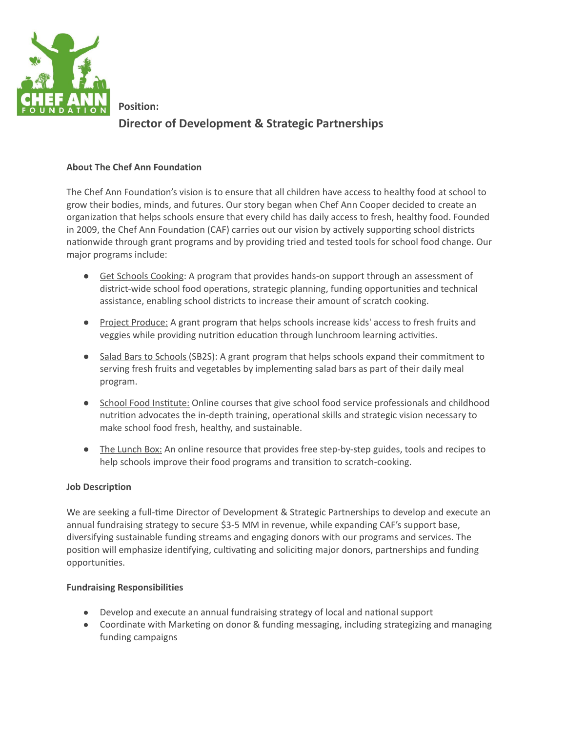

**Position: Director of Development & Strategic Partnerships**

## **About The Chef Ann Foundation**

The Chef Ann Foundation's vision is to ensure that all children have access to healthy food at school to grow their bodies, minds, and futures. Our story began when Chef Ann Cooper decided to create an organization that helps schools ensure that every child has daily access to fresh, healthy food. Founded in 2009, the Chef Ann Foundation (CAF) carries out our vision by actively supporting school districts nationwide through grant programs and by providing tried and tested tools for school food change. Our major programs include:

- Get Schools Cooking: A program that provides hands-on support through an assessment of district-wide school food operations, strategic planning, funding opportunities and technical assistance, enabling school districts to increase their amount of scratch cooking.
- Project Produce: A grant program that helps schools increase kids' access to fresh fruits and veggies while providing nutrition education through lunchroom learning activities.
- Salad Bars to Schools (SB2S): A grant program that helps schools expand their commitment to serving fresh fruits and vegetables by implementing salad bars as part of their daily meal program.
- School Food Institute: Online courses that give school food service professionals and childhood nutrition advocates the in-depth training, operational skills and strategic vision necessary to make school food fresh, healthy, and sustainable.
- The Lunch Box: An online resource that provides free step-by-step guides, tools and recipes to help schools improve their food programs and transition to scratch-cooking.

## **Job Description**

We are seeking a full-time Director of Development & Strategic Partnerships to develop and execute an annual fundraising strategy to secure \$3-5 MM in revenue, while expanding CAF's support base, diversifying sustainable funding streams and engaging donors with our programs and services. The position will emphasize identifying, cultivating and soliciting major donors, partnerships and funding opportunities.

## **Fundraising Responsibilities**

- Develop and execute an annual fundraising strategy of local and national support
- Coordinate with Marketing on donor & funding messaging, including strategizing and managing funding campaigns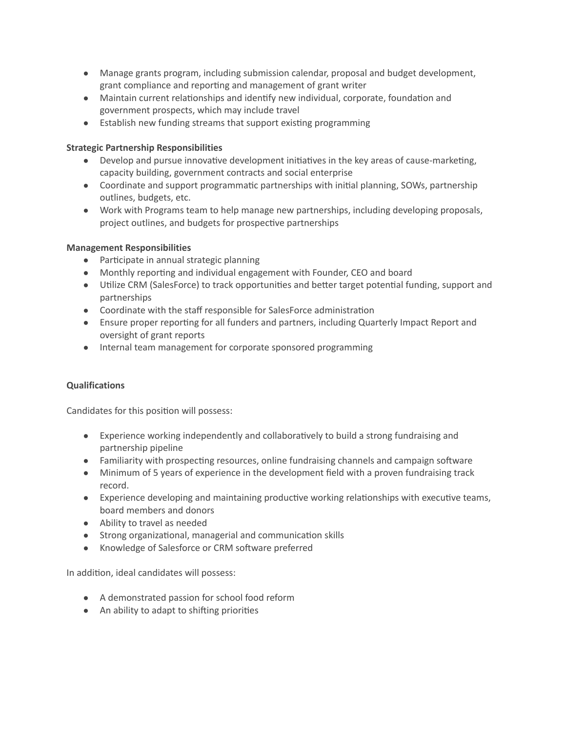- Manage grants program, including submission calendar, proposal and budget development, grant compliance and reporting and management of grant writer
- Maintain current relationships and identify new individual, corporate, foundation and government prospects, which may include travel
- Establish new funding streams that support existing programming

# **Strategic Partnership Responsibilities**

- $\bullet$  Develop and pursue innovative development initiatives in the key areas of cause-marketing, capacity building, government contracts and social enterprise
- Coordinate and support programmatic partnerships with initial planning, SOWs, partnership outlines, budgets, etc.
- Work with Programs team to help manage new partnerships, including developing proposals, project outlines, and budgets for prospective partnerships

## **Management Responsibilities**

- Participate in annual strategic planning
- Monthly reporting and individual engagement with Founder, CEO and board
- Utilize CRM (SalesForce) to track opportunities and better target potential funding, support and partnerships
- Coordinate with the staff responsible for SalesForce administration
- Ensure proper reporting for all funders and partners, including Quarterly Impact Report and oversight of grant reports
- Internal team management for corporate sponsored programming

# **Qualifications**

Candidates for this position will possess:

- Experience working independently and collaboratively to build a strong fundraising and partnership pipeline
- Familiarity with prospecting resources, online fundraising channels and campaign software
- Minimum of 5 years of experience in the development field with a proven fundraising track record.
- Experience developing and maintaining productive working relationships with executive teams, board members and donors
- Ability to travel as needed
- Strong organizational, managerial and communication skills
- Knowledge of Salesforce or CRM software preferred

In addition, ideal candidates will possess:

- A demonstrated passion for school food reform
- An ability to adapt to shifting priorities